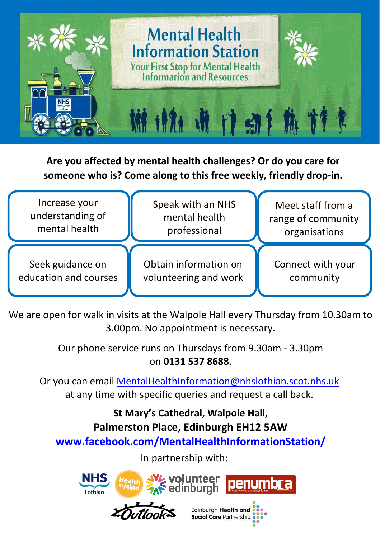

**Are you affected by mental health challenges? Or do you care for someone who is? Come along to this free weekly, friendly drop-in.** 



We are open for walk in visits at the Walpole Hall every Thursday from 10.30am to 3.00pm. No appointment is necessary.

> Our phone service runs on Thursdays from 9.30am - 3.30pm on **0131 537 8688**.

Or you can email MentalHealthInformation@nhslothian.scot.nhs.uk at any time with specific queries and request a call back.

**St Mary's Cathedral, Walpole Hall, Palmerston Place, Edinburgh EH12 5AW www.facebook.com/MentalHealthInformationStation/**

In partnership with:

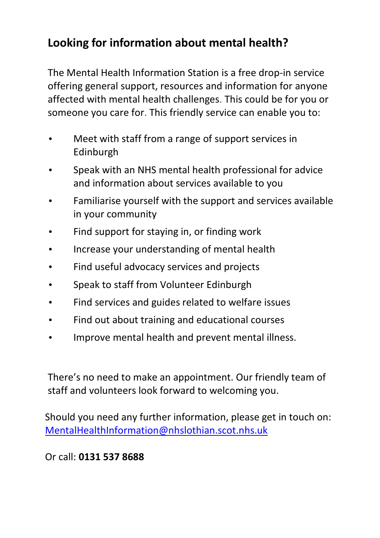# **Looking for information about mental health?**

The Mental Health Information Station is a free drop-in service offering general support, resources and information for anyone affected with mental health challenges. This could be for you or someone you care for. This friendly service can enable you to:

- Meet with staff from a range of support services in Edinburgh
- Speak with an NHS mental health professional for advice and information about services available to you
- Familiarise yourself with the support and services available in your community
- Find support for staying in, or finding work
- Increase your understanding of mental health
- Find useful advocacy services and projects
- Speak to staff from Volunteer Edinburgh
- Find services and guides related to welfare issues
- Find out about training and educational courses
- Improve mental health and prevent mental illness.

There's no need to make an appointment. Our friendly team of staff and volunteers look forward to welcoming you.

Should you need any further information, please get in touch on: MentalHealthInformation@nhslothian.scot.nhs.uk

### Or call: **0131 537 8688**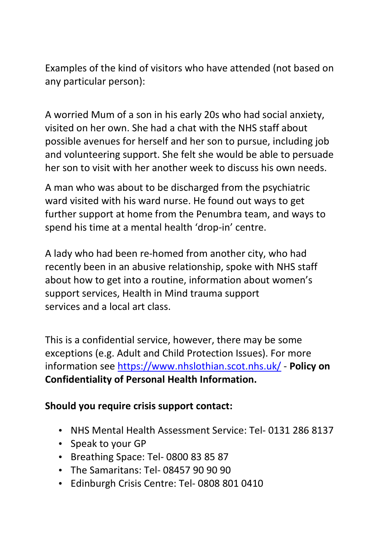Examples of the kind of visitors who have attended (not based on any particular person):

A worried Mum of a son in his early 20s who had social anxiety, visited on her own. She had a chat with the NHS staff about possible avenues for herself and her son to pursue, including job and volunteering support. She felt she would be able to persuade her son to visit with her another week to discuss his own needs.

A man who was about to be discharged from the psychiatric ward visited with his ward nurse. He found out ways to get further support at home from the Penumbra team, and ways to spend his time at a mental health 'drop-in' centre.

A lady who had been re-homed from another city, who had recently been in an abusive relationship, spoke with NHS staff about how to get into a routine, information about women's support services, Health in Mind trauma support services and a local art class.

This is a confidential service, however, there may be some exceptions (e.g. Adult and Child Protection Issues). For more information see https://www.nhslothian.scot.nhs.uk/ - **Policy on Confidentiality of Personal Health Information.** 

### **Should you require crisis support contact:**

- NHS Mental Health Assessment Service: Tel- 0131 286 8137
- Speak to your GP
- Breathing Space: Tel- 0800 83 85 87
- The Samaritans: Tel- 08457 90 90 90
- Edinburgh Crisis Centre: Tel- 0808 801 0410